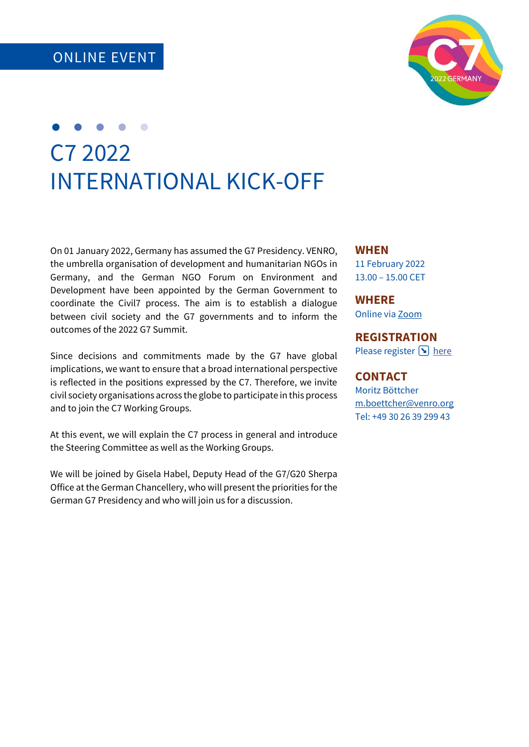

## C7 2022 INTERNATIONAL KICK-OFF

On 01 January 2022, Germany has assumed the G7 Presidency. VENRO, the umbrella organisation of development and humanitarian NGOs in Germany, and the German NGO Forum on Environment and Development have been appointed by the German Government to coordinate the Civil7 process. The aim is to establish a dialogue between civil society and the G7 governments and to inform the outcomes of the 2022 G7 Summit.

Since decisions and commitments made by the G7 have global implications, we want to ensure that a broad international perspective is reflected in the positions expressed by the C7. Therefore, we invite civil society organisations across the globe to participate in this process and to join the C7 Working Groups.

At this event, we will explain the C7 process in general and introduce the Steering Committee as well as the Working Groups.

We will be joined by Gisela Habel, Deputy Head of the G7/G20 Sherpa Office at the German Chancellery, who will present the priorities for the German G7 Presidency and who will join us for a discussion.

## **WHEN**

11 February 2022 13.00 – 15.00 CET

**WHERE**

Online via [Zoom](https://zoom.us/j/98033609305?pwd=Q3NVK3Z6cmlqd2t4ZDdTbFRsbW1lUT09)

**REGISTRATION** Please register  $\text{•}$  [here](https://doo.net/event/97573/order)

## **CONTACT**

Moritz Böttcher [m.boettcher@venro.org](mailto:m.boettcher@venro.org) Tel: +49 30 26 39 299 43